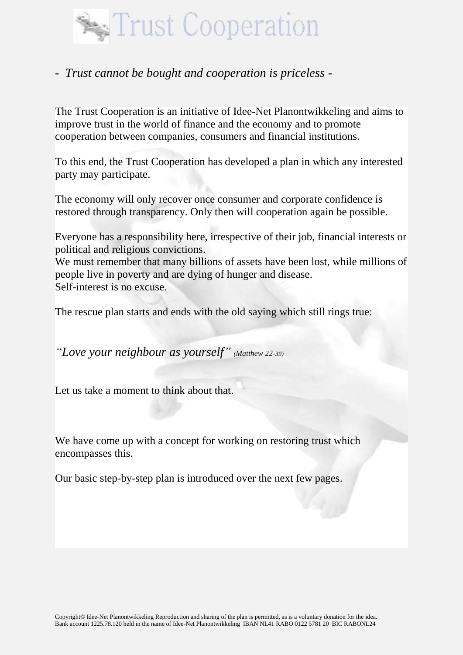

### *- Trust cannot be bought and cooperation is priceless -*

The Trust Cooperation is an initiative of Idee-Net Planontwikkeling and aims to improve trust in the world of finance and the economy and to promote cooperation between companies, consumers and financial institutions.

To this end, the Trust Cooperation has developed a plan in which any interested party may participate.

The economy will only recover once consumer and corporate confidence is restored through transparency. Only then will cooperation again be possible.

Everyone has a responsibility here, irrespective of their job, financial interests or political and religious convictions.

We must remember that many billions of assets have been lost, while millions of people live in poverty and are dying of hunger and disease. Self-interest is no excuse.

The rescue plan starts and ends with the old saying which still rings true:

*"Love your neighbour as yourself" (Matthew 22-39)*

Let us take a moment to think about that.

We have come up with a concept for working on restoring trust which encompasses this.

Our basic step-by-step plan is introduced over the next few pages.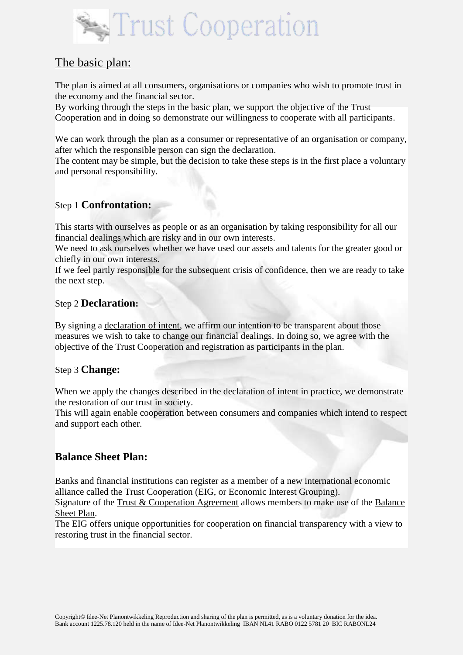

# The basic plan:

The plan is aimed at all consumers, organisations or companies who wish to promote trust in the economy and the financial sector.

By working through the steps in the basic plan, we support the objective of the Trust Cooperation and in doing so demonstrate our willingness to cooperate with all participants.

We can work through the plan as a consumer or representative of an organisation or company, after which the responsible person can sign the declaration.

The content may be simple, but the decision to take these steps is in the first place a voluntary and personal responsibility.

#### Step 1 **Confrontation:**

This starts with ourselves as people or as an organisation by taking responsibility for all our financial dealings which are risky and in our own interests.

We need to ask ourselves whether we have used our assets and talents for the greater good or chiefly in our own interests.

If we feel partly responsible for the subsequent crisis of confidence, then we are ready to take the next step.

#### Step 2 **Declaration:**

By signing a declaration of intent, we affirm our intention to be transparent about those measures we wish to take to change our financial dealings. In doing so, we agree with the objective of the Trust Cooperation and registration as participants in the plan.

#### Step 3 **Change:**

When we apply the changes described in the declaration of intent in practice, we demonstrate the restoration of our trust in society.

This will again enable cooperation between consumers and companies which intend to respect and support each other.

#### **Balance Sheet Plan:**

Banks and financial institutions can register as a member of a new international economic alliance called the Trust Cooperation (EIG, or Economic Interest Grouping).

Signature of the Trust & Cooperation Agreement allows members to make use of the Balance Sheet Plan.

The EIG offers unique opportunities for cooperation on financial transparency with a view to restoring trust in the financial sector.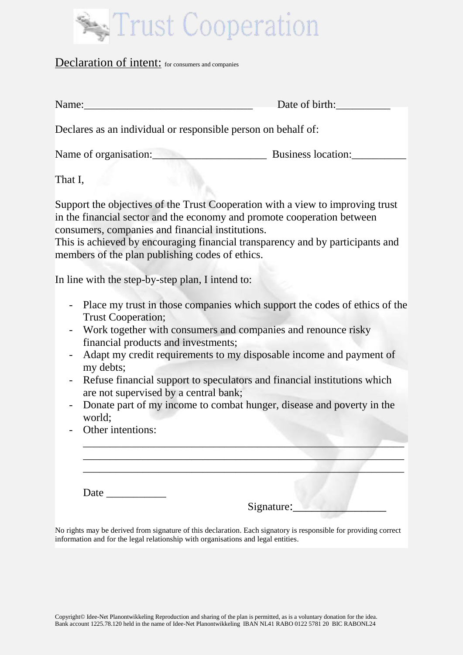

#### Declaration of intent: for consumers and companies

| Name:                                                         | Date of birth:     |  |
|---------------------------------------------------------------|--------------------|--|
| Declares as an individual or responsible person on behalf of: |                    |  |
| Name of organisation:                                         | Business location: |  |
| That I,                                                       |                    |  |

Support the objectives of the Trust Cooperation with a view to improving trust in the financial sector and the economy and promote cooperation between consumers, companies and financial institutions.

This is achieved by encouraging financial transparency and by participants and members of the plan publishing codes of ethics.

In line with the step-by-step plan, I intend to:

- Place my trust in those companies which support the codes of ethics of the Trust Cooperation;
- Work together with consumers and companies and renounce risky financial products and investments;
- Adapt my credit requirements to my disposable income and payment of my debts;
- Refuse financial support to speculators and financial institutions which are not supervised by a central bank;
- Donate part of my income to combat hunger, disease and poverty in the world;

\_\_\_\_\_\_\_\_\_\_\_\_\_\_\_\_\_\_\_\_\_\_\_\_\_\_\_\_\_\_\_\_\_\_\_\_\_\_\_\_\_\_\_\_\_\_\_\_\_\_\_\_\_\_\_\_\_\_\_ \_\_\_\_\_\_\_\_\_\_\_\_\_\_\_\_\_\_\_\_\_\_\_\_\_\_\_\_\_\_\_\_\_\_\_\_\_\_\_\_\_\_\_\_\_\_\_\_\_\_\_\_\_\_\_\_\_\_\_ \_\_\_\_\_\_\_\_\_\_\_\_\_\_\_\_\_\_\_\_\_\_\_\_\_\_\_\_\_\_\_\_\_\_\_\_\_\_\_\_\_\_\_\_\_\_\_\_\_\_\_\_\_\_\_\_\_\_\_

- Other intentions:

Date  $\Box$ 

Signature:

No rights may be derived from signature of this declaration. Each signatory is responsible for providing correct information and for the legal relationship with organisations and legal entities.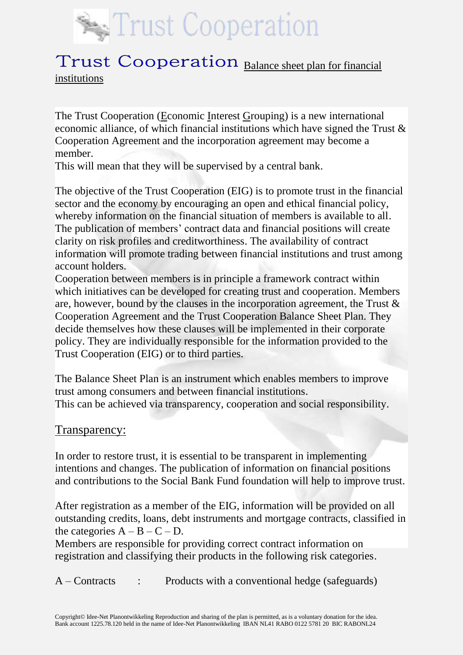

# Trust Cooperation Balance sheet plan for financial institutions

The Trust Cooperation (Economic Interest Grouping) is a new international economic alliance, of which financial institutions which have signed the Trust & Cooperation Agreement and the incorporation agreement may become a member.

This will mean that they will be supervised by a central bank.

The objective of the Trust Cooperation (EIG) is to promote trust in the financial sector and the economy by encouraging an open and ethical financial policy, whereby information on the financial situation of members is available to all. The publication of members' contract data and financial positions will create clarity on risk profiles and creditworthiness. The availability of contract information will promote trading between financial institutions and trust among account holders.

Cooperation between members is in principle a framework contract within which initiatives can be developed for creating trust and cooperation. Members are, however, bound by the clauses in the incorporation agreement, the Trust & Cooperation Agreement and the Trust Cooperation Balance Sheet Plan. They decide themselves how these clauses will be implemented in their corporate policy. They are individually responsible for the information provided to the Trust Cooperation (EIG) or to third parties.

The Balance Sheet Plan is an instrument which enables members to improve trust among consumers and between financial institutions. This can be achieved via transparency, cooperation and social responsibility.

#### Transparency:

In order to restore trust, it is essential to be transparent in implementing intentions and changes. The publication of information on financial positions and contributions to the Social Bank Fund foundation will help to improve trust.

After registration as a member of the EIG, information will be provided on all outstanding credits, loans, debt instruments and mortgage contracts, classified in the categories  $A - B - C - D$ .

Members are responsible for providing correct contract information on registration and classifying their products in the following risk categories.

A – Contracts : Products with a conventional hedge (safeguards)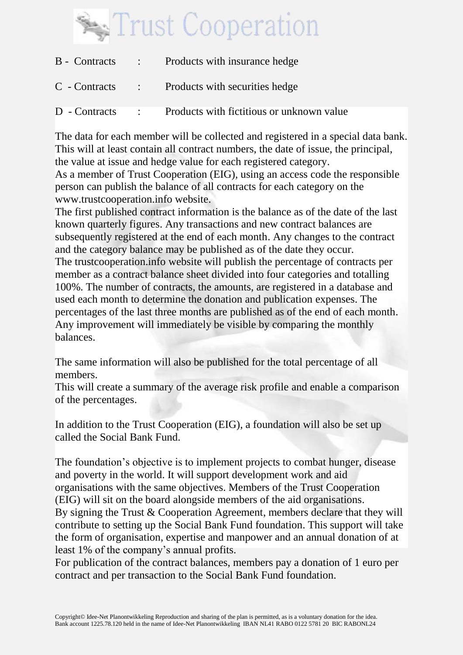

|               |                                                      | B - Contracts : Products with insurance hedge  |
|---------------|------------------------------------------------------|------------------------------------------------|
|               |                                                      | C - Contracts : Products with securities hedge |
| D - Contracts | $\mathcal{L}^{\text{max}}(\mathcal{L}^{\text{max}})$ | Products with fictitious or unknown value      |

The data for each member will be collected and registered in a special data bank. This will at least contain all contract numbers, the date of issue, the principal, the value at issue and hedge value for each registered category. As a member of Trust Cooperation (EIG), using an access code the responsible person can publish the balance of all contracts for each category on the www.trustcooperation.info website.

The first published contract information is the balance as of the date of the last known quarterly figures. Any transactions and new contract balances are subsequently registered at the end of each month. Any changes to the contract and the category balance may be published as of the date they occur. The trustcooperation.info website will publish the percentage of contracts per member as a contract balance sheet divided into four categories and totalling 100%. The number of contracts, the amounts, are registered in a database and used each month to determine the donation and publication expenses. The percentages of the last three months are published as of the end of each month. Any improvement will immediately be visible by comparing the monthly balances.

The same information will also be published for the total percentage of all members.

This will create a summary of the average risk profile and enable a comparison of the percentages.

In addition to the Trust Cooperation (EIG), a foundation will also be set up called the Social Bank Fund.

The foundation's objective is to implement projects to combat hunger, disease and poverty in the world. It will support development work and aid organisations with the same objectives. Members of the Trust Cooperation (EIG) will sit on the board alongside members of the aid organisations. By signing the Trust & Cooperation Agreement, members declare that they will contribute to setting up the Social Bank Fund foundation. This support will take the form of organisation, expertise and manpower and an annual donation of at least 1% of the company's annual profits.

For publication of the contract balances, members pay a donation of 1 euro per contract and per transaction to the Social Bank Fund foundation.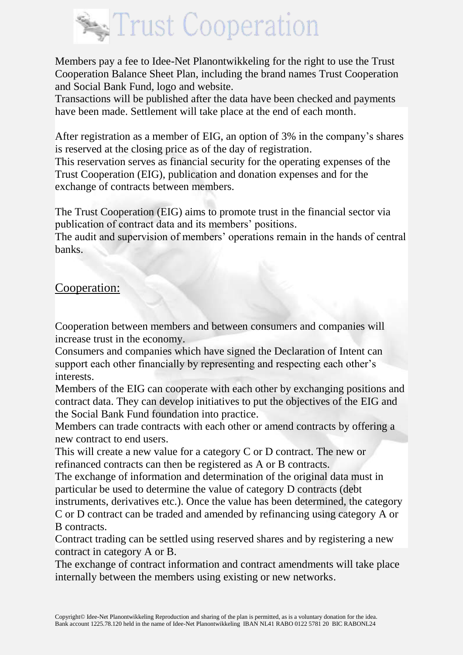

Members pay a fee to Idee-Net Planontwikkeling for the right to use the Trust Cooperation Balance Sheet Plan, including the brand names Trust Cooperation and Social Bank Fund, logo and website.

Transactions will be published after the data have been checked and payments have been made. Settlement will take place at the end of each month.

After registration as a member of EIG, an option of 3% in the company's shares is reserved at the closing price as of the day of registration.

This reservation serves as financial security for the operating expenses of the Trust Cooperation (EIG), publication and donation expenses and for the exchange of contracts between members.

The Trust Cooperation (EIG) aims to promote trust in the financial sector via publication of contract data and its members' positions.

The audit and supervision of members' operations remain in the hands of central banks.

# Cooperation:

Cooperation between members and between consumers and companies will increase trust in the economy.

Consumers and companies which have signed the Declaration of Intent can support each other financially by representing and respecting each other's interests.

Members of the EIG can cooperate with each other by exchanging positions and contract data. They can develop initiatives to put the objectives of the EIG and the Social Bank Fund foundation into practice.

Members can trade contracts with each other or amend contracts by offering a new contract to end users.

This will create a new value for a category C or D contract. The new or refinanced contracts can then be registered as A or B contracts.

The exchange of information and determination of the original data must in particular be used to determine the value of category D contracts (debt

instruments, derivatives etc.). Once the value has been determined, the category C or D contract can be traded and amended by refinancing using category A or B contracts.

Contract trading can be settled using reserved shares and by registering a new contract in category A or B.

The exchange of contract information and contract amendments will take place internally between the members using existing or new networks.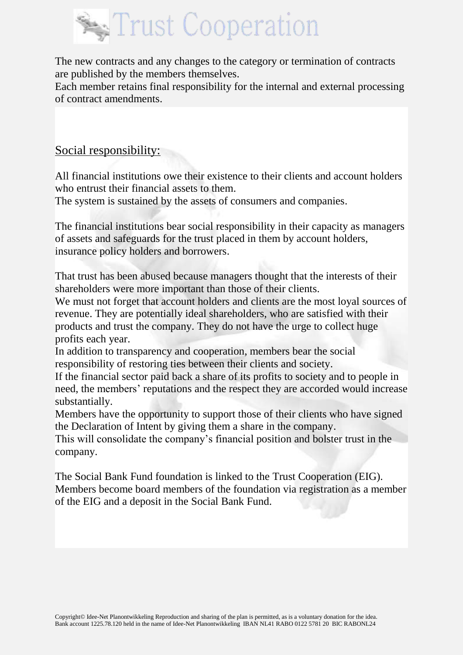

The new contracts and any changes to the category or termination of contracts are published by the members themselves.

Each member retains final responsibility for the internal and external processing of contract amendments.

# Social responsibility:

All financial institutions owe their existence to their clients and account holders who entrust their financial assets to them.

The system is sustained by the assets of consumers and companies.

The financial institutions bear social responsibility in their capacity as managers of assets and safeguards for the trust placed in them by account holders, insurance policy holders and borrowers.

That trust has been abused because managers thought that the interests of their shareholders were more important than those of their clients.

We must not forget that account holders and clients are the most loyal sources of revenue. They are potentially ideal shareholders, who are satisfied with their products and trust the company. They do not have the urge to collect huge profits each year.

In addition to transparency and cooperation, members bear the social responsibility of restoring ties between their clients and society.

If the financial sector paid back a share of its profits to society and to people in need, the members' reputations and the respect they are accorded would increase substantially.

Members have the opportunity to support those of their clients who have signed the Declaration of Intent by giving them a share in the company.

This will consolidate the company's financial position and bolster trust in the company.

The Social Bank Fund foundation is linked to the Trust Cooperation (EIG). Members become board members of the foundation via registration as a member of the EIG and a deposit in the Social Bank Fund.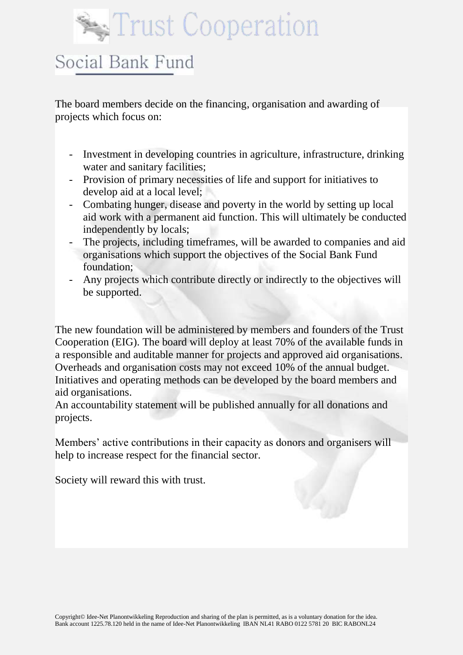# Trust Cooperation

# Social Bank Fund

The board members decide on the financing, organisation and awarding of projects which focus on:

- Investment in developing countries in agriculture, infrastructure, drinking water and sanitary facilities:
- Provision of primary necessities of life and support for initiatives to develop aid at a local level;
- Combating hunger, disease and poverty in the world by setting up local aid work with a permanent aid function. This will ultimately be conducted independently by locals;
- The projects, including timeframes, will be awarded to companies and aid organisations which support the objectives of the Social Bank Fund foundation;
- Any projects which contribute directly or indirectly to the objectives will be supported.

The new foundation will be administered by members and founders of the Trust Cooperation (EIG). The board will deploy at least 70% of the available funds in a responsible and auditable manner for projects and approved aid organisations. Overheads and organisation costs may not exceed 10% of the annual budget. Initiatives and operating methods can be developed by the board members and aid organisations.

An accountability statement will be published annually for all donations and projects.

Members' active contributions in their capacity as donors and organisers will help to increase respect for the financial sector.

Society will reward this with trust.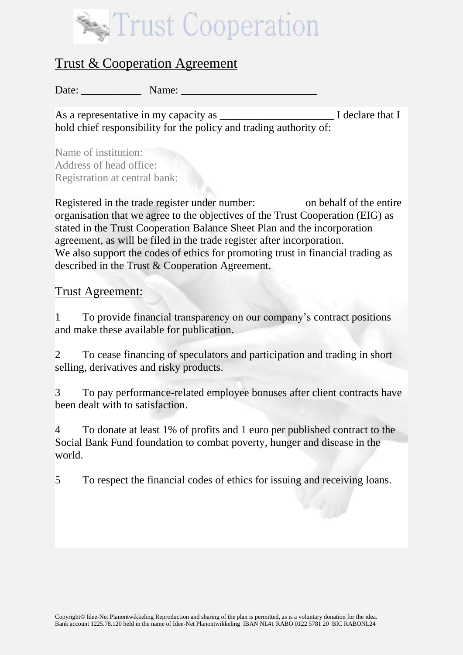

# Trust & Cooperation Agreement

Date: \_\_\_\_\_\_\_\_\_\_\_ Name: \_\_\_\_\_\_\_\_\_\_\_\_\_\_\_\_\_\_\_\_\_\_\_\_\_

As a representative in my capacity as  $\blacksquare$  I declare that I hold chief responsibility for the policy and trading authority of:

Name of institution: Address of head office: Registration at central bank:

Registered in the trade register under number: on behalf of the entire organisation that we agree to the objectives of the Trust Cooperation (EIG) as stated in the Trust Cooperation Balance Sheet Plan and the incorporation agreement, as will be filed in the trade register after incorporation. We also support the codes of ethics for promoting trust in financial trading as described in the Trust & Cooperation Agreement.

#### Trust Agreement:

1 To provide financial transparency on our company's contract positions and make these available for publication.

2 To cease financing of speculators and participation and trading in short selling, derivatives and risky products.

3 To pay performance-related employee bonuses after client contracts have been dealt with to satisfaction.

4 To donate at least 1% of profits and 1 euro per published contract to the Social Bank Fund foundation to combat poverty, hunger and disease in the world.

5 To respect the financial codes of ethics for issuing and receiving loans.